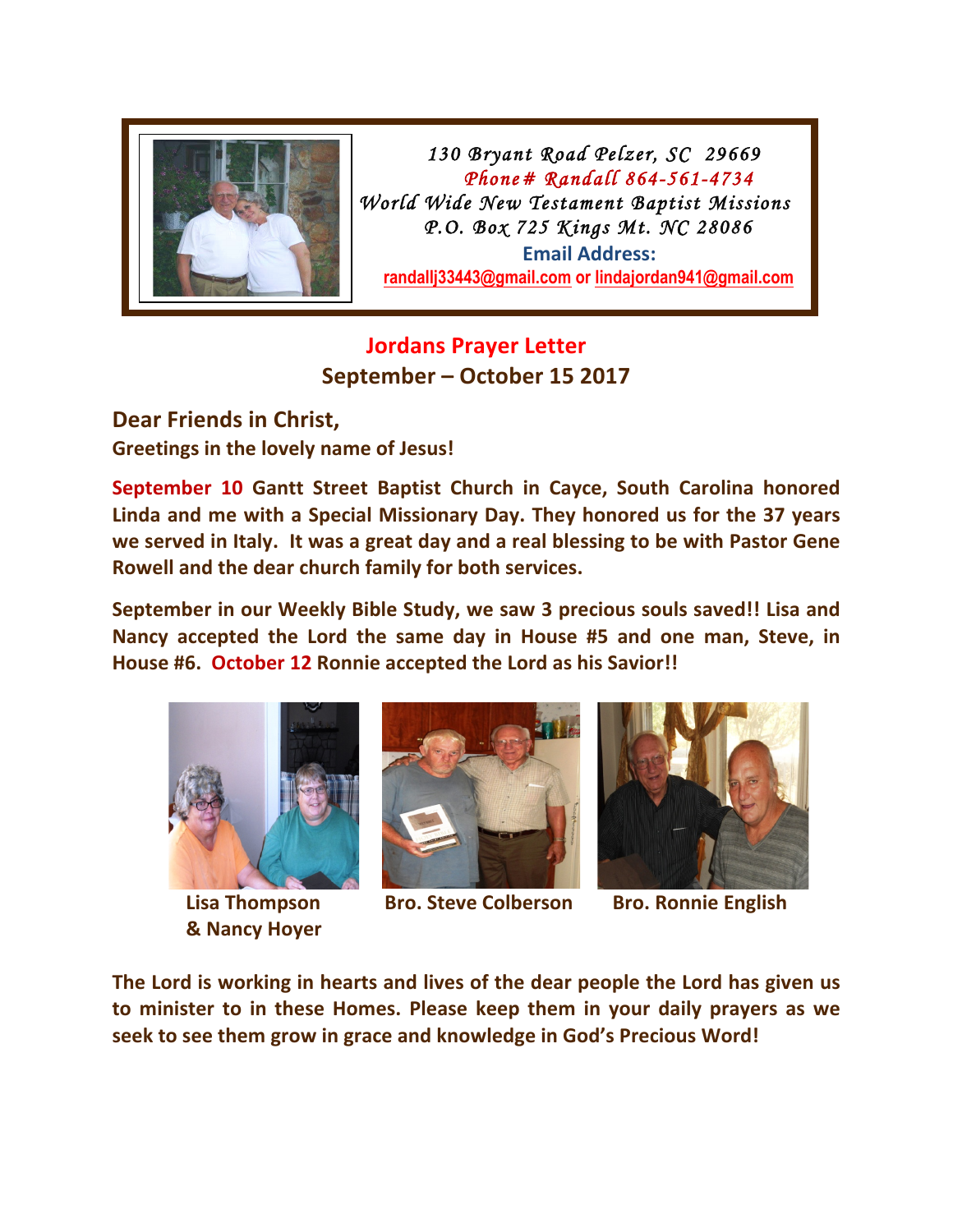

 *130 Bryant Road Pelzer, SC 29669 Phone# Randall 864-561-4734 Linda 864-990-7658 World Wide New Testament Baptist Missions*  P.O. Box 725 Kings Mt. NC 28086 **Email Address: randallj33443@gmail.com or lindajordan941@gmail.com**

## **Jordans Prayer Letter September – October 15 2017**

**Dear Friends in Christ, Greetings in the lovely name of Jesus!** 

**September 10 Gantt Street Baptist Church in Cayce, South Carolina honored** Linda and me with a Special Missionary Day. They honored us for the 37 years we served in Italy. It was a great day and a real blessing to be with Pastor Gene Rowell and the dear church family for both services.

**September in our Weekly Bible Study, we saw 3 precious souls saved!! Lisa and** Nancy accepted the Lord the same day in House #5 and one man, Steve, in House #6. October 12 Ronnie accepted the Lord as his Savior!!



**& Nancy Hoyer** 



**Lisa Thompson Bro. Steve Colberson Bro. Ronnie English** 



The Lord is working in hearts and lives of the dear people the Lord has given us **to minister to in these Homes. Please keep them in your daily prayers as we** seek to see them grow in grace and knowledge in God's Precious Word!